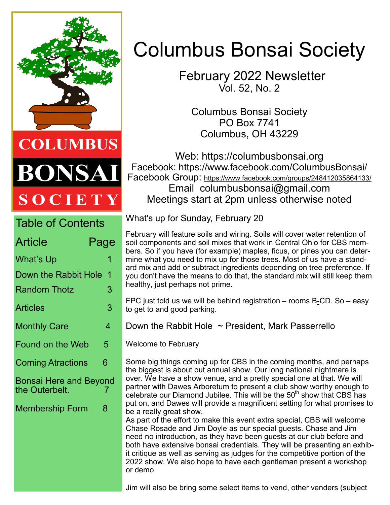

DNSA **SOCIETY** 

| <b>Table of Contents</b>                 |      |
|------------------------------------------|------|
| Article                                  | Page |
| What's Up                                | 1    |
| Down the Rabbit Hole<br>1                |      |
| <b>Random Thotz</b>                      | 3    |
| Articles                                 | 3    |
| <b>Monthly Care</b>                      | 4    |
| <b>Found on the Web</b>                  | 5    |
| <b>Coming Atractions</b>                 | 6    |
| Bonsai Here and Beyond<br>the Outerbelt. | 7    |
| <b>Membership Form</b>                   | 8    |
|                                          |      |
|                                          |      |
|                                          |      |

# Columbus Bonsai Society

 February 2022 Newsletter Vol. 52, No. 2

Columbus Bonsai Society PO Box 7741 Columbus, OH 43229

Web: https://columbusbonsai.org Facebook: https://www.facebook.com/ColumbusBonsai/ Facebook Group: <https://www.facebook.com/groups/248412035864133/> Email columbusbonsai@gmail.com Meetings start at 2pm unless otherwise noted

What's up for Sunday, February 20

February will feature soils and wiring. Soils will cover water retention of soil components and soil mixes that work in Central Ohio for CBS members. So if you have (for example) maples, ficus, or pines you can determine what you need to mix up for those trees. Most of us have a standard mix and add or subtract ingredients depending on tree preference. If you don't have the means to do that, the standard mix will still keep them healthy, just perhaps not prime.

FPC just told us we will be behind registration – rooms B-CD. So – easy to get to and good parking.

Down the Rabbit Hole  $\sim$  President, Mark Passerrello

Welcome to February

Some big things coming up for CBS in the coming months, and perhaps the biggest is about out annual show. Our long national nightmare is over. We have a show venue, and a pretty special one at that. We will partner with Dawes Arboretum to present a club show worthy enough to celebrate our Diamond Jubilee. This will be the  $50<sup>th</sup>$  show that CBS has put on, and Dawes will provide a magnificent setting for what promises to be a really great show.

As part of the effort to make this event extra special, CBS will welcome Chase Rosade and Jim Doyle as our special guests. Chase and Jim need no introduction, as they have been guests at our club before and both have extensive bonsai credentials. They will be presenting an exhibit critique as well as serving as judges for the competitive portion of the 2022 show. We also hope to have each gentleman present a workshop or demo.

Jim will also be bring some select items to vend, other venders (subject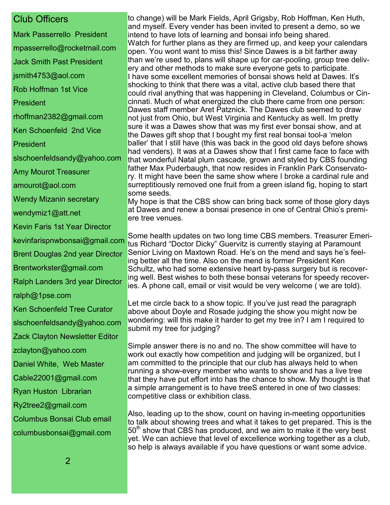#### Club Officers

Mark Passerrello President mpasserrello@rocketmail.com Jack Smith Past President jsmith4753@aol.com Rob Hoffman 1st Vice President rhoffman2382@gmail.com Ken Schoenfeld 2nd Vice **President** slschoenfeldsandy@yahoo.com Amy Mourot Treasurer amourot@aol.com Wendy Mizanin secretary wendymiz1@att.net Kevin Faris 1st Year Director kevinfarispnwbonsai@gmail.com Brent Douglas 2nd year Director Brentworkster@gmail.com Ralph Landers 3rd year Director ralph@1pse.com Ken Schoenfeld Tree Curator slschoenfeldsandy@yahoo.com Zack Clayton Newsletter Editor zclayton@yahoo.com Daniel White, Web Master Cable22001@gmail.com Ryan Huston Librarian Ry2tree2@gmail.com Columbus Bonsai Club email columbusbonsai@gmail.com

to change) will be Mark Fields, April Grigsby, Rob Hoffman, Ken Huth, and myself. Every vender has been invited to present a demo, so we intend to have lots of learning and bonsai info being shared. Watch for further plans as they are firmed up, and keep your calendars open. You wont want to miss this! Since Dawes is a bit farther away than we're used to, plans will shape up for car-pooling, group tree delivery and other methods to make sure everyone gets to participate. I have some excellent memories of bonsai shows held at Dawes. It's shocking to think that there was a vital, active club based there that could rival anything that was happening in Cleveland, Columbus or Cincinnati. Much of what energized the club there came from one person: Dawes staff member Aret Patznick. The Dawes club seemed to draw not just from Ohio, but West Virginia and Kentucky as well. Im pretty sure it was a Dawes show that was my first ever bonsai show, and at the Dawes gift shop that I bought my first real bonsai tool-a 'melon baller' that I still have (this was back in the good old days before shows had venders). It was at a Dawes show that I first came face to face with that wonderful Natal plum cascade, grown and styled by CBS founding father Max Puderbaugh, that now resides in Franklin Park Conservatory. It might have been the same show where I broke a cardinal rule and surreptitiously removed one fruit from a green island fig, hoping to start some seeds.

My hope is that the CBS show can bring back some of those glory days at Dawes and renew a bonsai presence in one of Central Ohio's premiere tree venues.

Some health updates on two long time CBS members. Treasurer Emeritus Richard "Doctor Dicky" Guervitz is currently staying at Paramount Senior Living on Maxtown Road. He's on the mend and says he's feeling better all the time. Also on the mend is former President Ken Schultz, who had some extensive heart by-pass surgery but is recovering well. Best wishes to both these bonsai veterans for speedy recoveries. A phone call, email or visit would be very welcome ( we are told).

Let me circle back to a show topic. If you've just read the paragraph above about Doyle and Rosade judging the show you might now be wondering: will this make it harder to get my tree in? I am I required to submit my tree for judging?

Simple answer there is no and no. The show committee will have to work out exactly how competition and judging will be organized, but I am committed to the principle that our club has always held to when running a show-every member who wants to show and has a live tree that they have put effort into has the chance to show. My thought is that a simple arrangement is to have treeS entered in one of two classes: competitive class or exhibition class.

Also, leading up to the show, count on having in-meeting opportunities to talk about showing trees and what it takes to get prepared. This is the  $50<sup>th</sup>$  show that CBS has produced, and we aim to make it the very best yet. We can achieve that level of excellence working together as a club, so help is always available if you have questions or want some advice.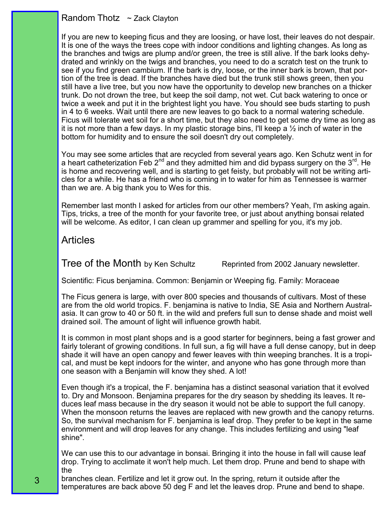#### Random Thotz ~ Zack Clayton

If you are new to keeping ficus and they are loosing, or have lost, their leaves do not despair. It is one of the ways the trees cope with indoor conditions and lighting changes. As long as the branches and twigs are plump and/or green, the tree is still alive. If the bark looks dehydrated and wrinkly on the twigs and branches, you need to do a scratch test on the trunk to see if you find green cambium. If the bark is dry, loose, or the inner bark is brown, that portion of the tree is dead. If the branches have died but the trunk still shows green, then you still have a live tree, but you now have the opportunity to develop new branches on a thicker trunk. Do not drown the tree, but keep the soil damp, not wet. Cut back watering to once or twice a week and put it in the brightest light you have. You should see buds starting to push in 4 to 6 weeks. Wait until there are new leaves to go back to a normal watering schedule. Ficus will tolerate wet soil for a short time, but they also need to get some dry time as long as it is not more than a few days. In my plastic storage bins, I'll keep a  $\frac{1}{2}$  inch of water in the bottom for humidity and to ensure the soil doesn't dry out completely.

You may see some articles that are recycled from several years ago. Ken Schutz went in for a heart catheterization Feb 2<sup>nd</sup> and they admitted him and did bypass surgery on the 3<sup>rd</sup>. He is home and recovering well, and is starting to get feisty, but probably will not be writing articles for a while. He has a friend who is coming in to water for him as Tennessee is warmer than we are. A big thank you to Wes for this.

Remember last month I asked for articles from our other members? Yeah, I'm asking again. Tips, tricks, a tree of the month for your favorite tree, or just about anything bonsai related will be welcome. As editor, I can clean up grammer and spelling for you, it's my job.

#### Articles

3

Tree of the Month by Ken Schultz Reprinted from 2002 January newsletter.

Scientific: Ficus benjamina. Common: Benjamin or Weeping fig. Family: Moraceae

The Ficus genera is large, with over 800 species and thousands of cultivars. Most of these are from the old world tropics. F. benjamina is native to India, SE Asia and Northern Australasia. It can grow to 40 or 50 ft. in the wild and prefers full sun to dense shade and moist well drained soil. The amount of light will influence growth habit.

It is common in most plant shops and is a good starter for beginners, being a fast grower and fairly tolerant of growing conditions. In full sun, a fig will have a full dense canopy, but in deep shade it will have an open canopy and fewer leaves with thin weeping branches. It is a tropical, and must be kept indoors for the winter, and anyone who has gone through more than one season with a Benjamin will know they shed. A lot!

Even though it's a tropical, the F. benjamina has a distinct seasonal variation that it evolved to. Dry and Monsoon. Benjamina prepares for the dry season by shedding its leaves. It reduces leaf mass because in the dry season it would not be able to support the full canopy. When the monsoon returns the leaves are replaced with new growth and the canopy returns. So, the survival mechanism for F. benjamina is leaf drop. They prefer to be kept in the same environment and will drop leaves for any change. This includes fertilizing and using "leaf shine".

We can use this to our advantage in bonsai. Bringing it into the house in fall will cause leaf drop. Trying to acclimate it won't help much. Let them drop. Prune and bend to shape with the

branches clean. Fertilize and let it grow out. In the spring, return it outside after the temperatures are back above 50 deg F and let the leaves drop. Prune and bend to shape.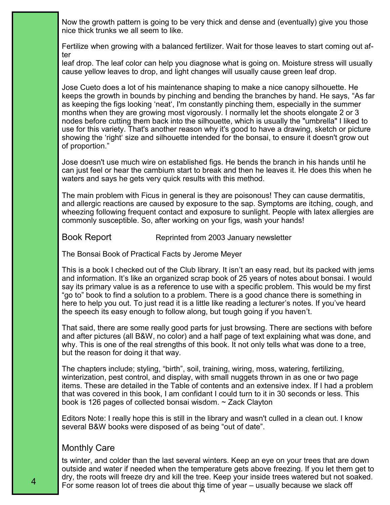Now the growth pattern is going to be very thick and dense and (eventually) give you those nice thick trunks we all seem to like.

Fertilize when growing with a balanced fertilizer. Wait for those leaves to start coming out after

leaf drop. The leaf color can help you diagnose what is going on. Moisture stress will usually cause yellow leaves to drop, and light changes will usually cause green leaf drop.

Jose Cueto does a lot of his maintenance shaping to make a nice canopy silhouette. He keeps the growth in bounds by pinching and bending the branches by hand. He says, "As far as keeping the figs looking 'neat', I'm constantly pinching them, especially in the summer months when they are growing most vigorously. I normally let the shoots elongate 2 or 3 nodes before cutting them back into the silhouette, which is usually the "umbrella" I liked to use for this variety. That's another reason why it's good to have a drawing, sketch or picture showing the 'right' size and silhouette intended for the bonsai, to ensure it doesn't grow out of proportion."

Jose doesn't use much wire on established figs. He bends the branch in his hands until he can just feel or hear the cambium start to break and then he leaves it. He does this when he waters and says he gets very quick results with this method.

The main problem with Ficus in general is they are poisonous! They can cause dermatitis, and allergic reactions are caused by exposure to the sap. Symptoms are itching, cough, and wheezing following frequent contact and exposure to sunlight. People with latex allergies are commonly susceptible. So, after working on your figs, wash your hands!

Book Report Reprinted from 2003 January newsletter

The Bonsai Book of Practical Facts by Jerome Meyer

This is a book I checked out of the Club library. It isn't an easy read, but its packed with jems and information. It's like an organized scrap book of 25 years of notes about bonsai. I would say its primary value is as a reference to use with a specific problem. This would be my first "go to" book to find a solution to a problem. There is a good chance there is something in here to help you out. To just read it is a little like reading a lecturer's notes. If you've heard the speech its easy enough to follow along, but tough going if you haven't.

That said, there are some really good parts for just browsing. There are sections with before and after pictures (all B&W, no color) and a half page of text explaining what was done, and why. This is one of the real strengths of this book. It not only tells what was done to a tree, but the reason for doing it that way.

The chapters include; styling, "birth", soil, training, wiring, moss, watering, fertilizing, winterization, pest control, and display, with small nuggets thrown in as one or two page items. These are detailed in the Table of contents and an extensive index. If I had a problem that was covered in this book, I am confidant I could turn to it in 30 seconds or less. This book is 126 pages of collected bonsai wisdom. ~ Zack Clayton

Editors Note: I really hope this is still in the library and wasn't culled in a clean out. I know several B&W books were disposed of as being "out of date".

#### Monthly Care

For some reason lot of trees die about this time of year – usually because we slack off ts winter, and colder than the last several winters. Keep an eye on your trees that are down outside and water if needed when the temperature gets above freezing. If you let them get to dry, the roots will freeze dry and kill the tree. Keep your inside trees watered but not soaked.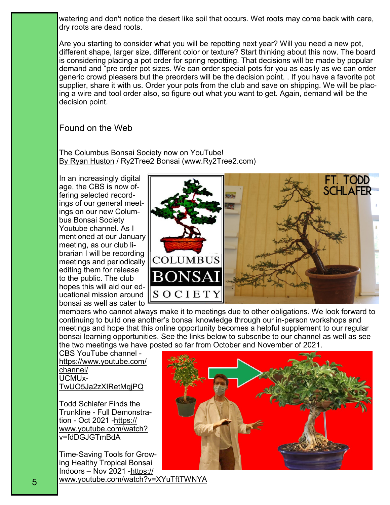watering and don't notice the desert like soil that occurs. Wet roots may come back with care, dry roots are dead roots.

Are you starting to consider what you will be repotting next year? Will you need a new pot, different shape, larger size, different color or texture? Start thinking about this now. The board is considering placing a pot order for spring repotting. That decisions will be made by popular demand and "pre order pot sizes. We can order special pots for you as easily as we can order generic crowd pleasers but the preorders will be the decision point. . If you have a favorite pot supplier, share it with us. Order your pots from the club and save on shipping. We will be placing a wire and tool order also, so figure out what you want to get. Again, demand will be the decision point.

#### Found on the Web

The Columbus Bonsai Society now on YouTube! [By Ryan Huston](https://www.ry2tree2.com/) / Ry2Tree2 Bonsai (www.Ry2Tree2.com)

In an increasingly digital age, the CBS is now offering selected recordings of our general meetings on our new Columbus Bonsai Society Youtube channel. As I mentioned at our January meeting, as our club librarian I will be recording meetings and periodically editing them for release to the public. The club hopes this will aid our educational mission around bonsai as well as cater to



members who cannot always make it to meetings due to other obligations. We look forward to continuing to build one another's bonsai knowledge through our in-person workshops and meetings and hope that this online opportunity becomes a helpful supplement to our regular bonsai learning opportunities. See the links below to subscribe to our channel as well as see the two meetings we have posted so far from October and November of 2021.

CBS YouTube channel [https://www.youtube.com/](https://www.youtube.com/channel/UCMUxTwUO5Ja2zXIRetMqjPQ) [channel/](https://www.youtube.com/channel/UCMUxTwUO5Ja2zXIRetMqjPQ) [UCMUx-](https://www.youtube.com/channel/UCMUxTwUO5Ja2zXIRetMqjPQ)[TwUO5Ja2zXIRetMqjPQ](https://www.youtube.com/channel/UCMUxTwUO5Ja2zXIRetMqjPQ)

Todd Schlafer Finds the Trunkline - Full Demonstration - Oct 2021 -[https://](https://www.youtube.com/watch?v=fdDGJGTmBdA) [www.youtube.com/watch?](https://www.youtube.com/watch?v=fdDGJGTmBdA) [v=fdDGJGTmBdA](https://www.youtube.com/watch?v=fdDGJGTmBdA)

Time-Saving Tools for Growing Healthy Tropical Bonsai Indoors – Nov 2021 -[https://](https://www.youtube.com/watch?v=XYuTftTWNYA) [www.youtube.com/watch?v=XYuTftTWNYA](https://www.youtube.com/watch?v=XYuTftTWNYA)

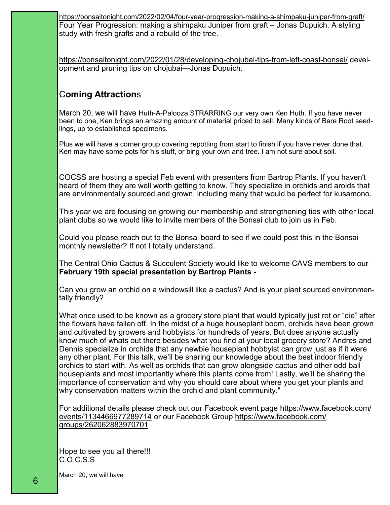[https://bonsaitonight.com/2022/02/04/four](https://bonsaitonight.com/2022/02/04/four-year-progression-making-a-shimpaku-juniper-from-graft/)-year-progression-making-a-shimpaku-juniper-from-graft/ Four Year Progression: making a shimpaku Juniper from graft – Jonas Dupuich. A styling study with fresh grafts and a rebuild of the tree.

[https://bonsaitonight.com/2022/01/28/developing](https://bonsaitonight.com/2022/01/28/developing-chojubai-tips-from-left-coast-bonsai/)-chojubai-tips-from-left-coast-bonsai/ development and pruning tips on chojubai—Jonas Dupuich.

### C**oming Attraction**s

March 20, we will have Huth-A-Palooza STRARRING our very own Ken Huth. If you have never been to one, Ken brings an amazing amount of material priced to sell. Many kinds of Bare Root seedlings, up to established specimens.

Plus we will have a corner group covering repotting from start to finish if you have never done that. Ken may have some pots for his stuff, or bing your own and tree. I am not sure about soil.

COCSS are hosting a special Feb event with presenters from Bartrop Plants. If you haven't heard of them they are well worth getting to know. They specialize in orchids and aroids that are environmentally sourced and grown, including many that would be perfect for kusamono.

This year we are focusing on growing our membership and strengthening ties with other local plant clubs so we would like to invite members of the Bonsai club to join us in Feb.

Could you please reach out to the Bonsai board to see if we could post this in the Bonsai monthly newsletter? If not I totally understand.

The Central Ohio Cactus & Succulent Society would like to welcome CAVS members to our **February 19th special presentation by Bartrop Plants** -

Can you grow an orchid on a windowsill like a cactus? And is your plant sourced environmentally friendly?

What once used to be known as a grocery store plant that would typically just rot or "die" after the flowers have fallen off. In the midst of a huge houseplant boom, orchids have been grown and cultivated by growers and hobbyists for hundreds of years. But does anyone actually know much of whats out there besides what you find at your local grocery store? Andres and Dennis specialize in orchids that any newbie houseplant hobbyist can grow just as if it were any other plant. For this talk, we'll be sharing our knowledge about the best indoor friendly orchids to start with. As well as orchids that can grow alongside cactus and other odd ball houseplants and most importantly where this plants come from! Lastly, we'll be sharing the importance of conservation and why you should care about where you get your plants and why conservation matters within the orchid and plant community."

For additional details please check out our Facebook event page [https://www.facebook.com/](https://www.facebook.com/events/1134466977289714) [events/1134466977289714](https://www.facebook.com/events/1134466977289714) or our Facebook Group [https://www.facebook.com/](https://www.facebook.com/groups/262062883970701) [groups/262062883970701](https://www.facebook.com/groups/262062883970701)

Hope to see you all there!!! C.O.C.S.S

March 20, we will have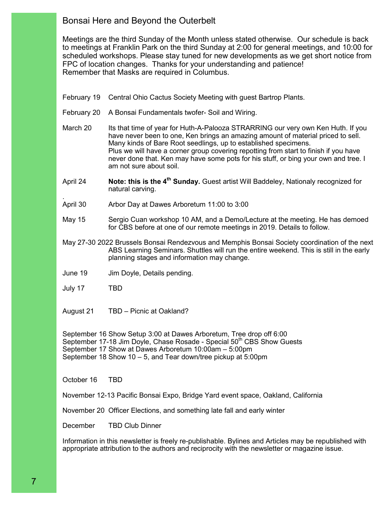#### Bonsai Here and Beyond the Outerbelt

Meetings are the third Sunday of the Month unless stated otherwise. Our schedule is back to meetings at Franklin Park on the third Sunday at 2:00 for general meetings, and 10:00 for scheduled workshops. Please stay tuned for new developments as we get short notice from FPC of location changes. Thanks for your understanding and patience! Remember that Masks are required in Columbus.

February 19 Central Ohio Cactus Society Meeting with guest Bartrop Plants.

- February 20 A Bonsai Fundamentals twofer- Soil and Wiring.
- March 20 Its that time of year for Huth-A-Palooza STRARRING our very own Ken Huth. If you have never been to one, Ken brings an amazing amount of material priced to sell. Many kinds of Bare Root seedlings, up to established specimens. Plus we will have a corner group covering repotting from start to finish if you have never done that. Ken may have some pots for his stuff, or bing your own and tree. I am not sure about soil.
- April 24 **Note: this is the 4th Sunday.** Guest artist Will Baddeley, Nationaly recognized for natural carving.
- . April 30 Arbor Day at Dawes Arboretum 11:00 to 3:00
- May 15 Sergio Cuan workshop 10 AM, and a Demo/Lecture at the meeting. He has demoed for CBS before at one of our remote meetings in 2019. Details to follow.
- May 27-30 2022 Brussels Bonsai Rendezvous and Memphis Bonsai Society coordination of the next ABS Learning Seminars. Shuttles will run the entire weekend. This is still in the early planning stages and information may change.
- June 19 Jim Doyle, Details pending.
- July 17 TBD
- August 21 TBD Picnic at Oakland?

September 16 Show Setup 3:00 at Dawes Arboretum, Tree drop off 6:00 September 17-18 Jim Doyle, Chase Rosade - Special 50<sup>th</sup> CBS Show Guests September 17 Show at Dawes Arboretum 10:00am – 5:00pm September 18 Show 10 – 5, and Tear down/tree pickup at 5:00pm

October 16 TBD

November 12-13 Pacific Bonsai Expo, Bridge Yard event space, Oakland, California

November 20 Officer Elections, and something late fall and early winter

December TBD Club Dinner

Information in this newsletter is freely re-publishable. Bylines and Articles may be republished with appropriate attribution to the authors and reciprocity with the newsletter or magazine issue.